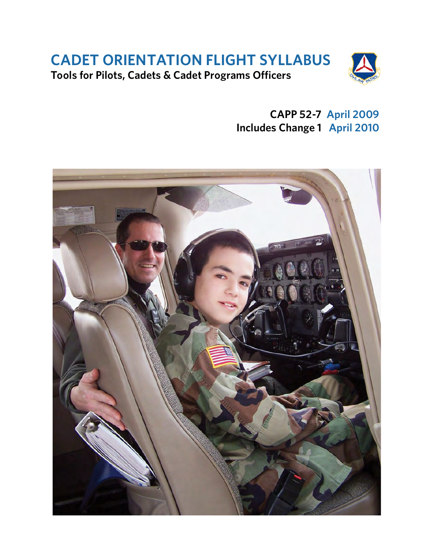# **CADET ORIENTATION FLIGHT SYLLABUS Tools for Pilots, Cadets & Cadet Programs Officers**



**CAPP 52-7 April 2009 Includes Change 1 April 2010**

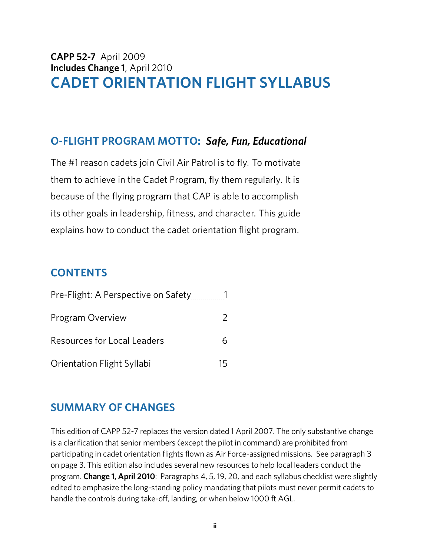# **CAPP 52-7** April 2009 **Includes Change 1**, April 2010 **CADET ORIENTATION FLIGHT SYLLABUS**

# **O-FLIGHT PROGRAM MOTTO:** *Safe, Fun, Educational*

The #1 reason cadets join Civil Air Patrol is to fly. To motivate them to achieve in the Cadet Program, fly them regularly. It is because of the flying program that CAP is able to accomplish its other goals in leadership, fitness, and character. This guide explains how to conduct the cadet orientation flight program.

# **CONTENTS**

| Resources for Local Leaders 6 |        |
|-------------------------------|--------|
| Orientation Flight Syllabi    | $15 -$ |

# **SUMMARY OF CHANGES**

This edition of CAPP 52-7 replaces the version dated 1 April 2007. The only substantive change is a clarification that senior members (except the pilot in command) are prohibited from participating in cadet orientation flights flown as Air Force-assigned missions. See paragraph 3 on page 3. This edition also includes several new resources to help local leaders conduct the program. **Change 1, April 2010**: Paragraphs 4, 5, 19, 20, and each syllabus checklist were slightly edited to emphasize the long-standing policy mandating that pilots must never permit cadets to handle the controls during take-off, landing, or when below 1000 ft AGL.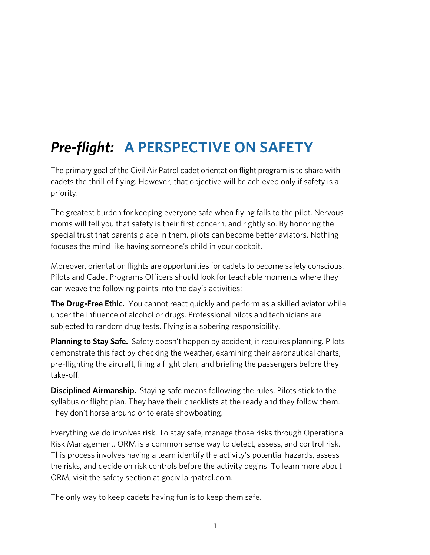# *Pre-flight:* **A PERSPECTIVE ON SAFETY**

The primary goal of the Civil Air Patrol cadet orientation flight program is to share with cadets the thrill of flying. However, that objective will be achieved only if safety is a priority.

The greatest burden for keeping everyone safe when flying falls to the pilot. Nervous moms will tell you that safety is their first concern, and rightly so. By honoring the special trust that parents place in them, pilots can become better aviators. Nothing focuses the mind like having someone's child in your cockpit.

Moreover, orientation flights are opportunities for cadets to become safety conscious. Pilots and Cadet Programs Officers should look for teachable moments where they can weave the following points into the day's activities:

**The Drug-Free Ethic.** You cannot react quickly and perform as a skilled aviator while under the influence of alcohol or drugs. Professional pilots and technicians are subjected to random drug tests. Flying is a sobering responsibility.

**Planning to Stay Safe.** Safety doesn't happen by accident, it requires planning. Pilots demonstrate this fact by checking the weather, examining their aeronautical charts, pre-flighting the aircraft, filing a flight plan, and briefing the passengers before they take-off.

**Disciplined Airmanship.** Staying safe means following the rules. Pilots stick to the syllabus or flight plan. They have their checklists at the ready and they follow them. They don't horse around or tolerate showboating.

Everything we do involves risk. To stay safe, manage those risks through Operational Risk Management. ORM is a common sense way to detect, assess, and control risk. This process involves having a team identify the activity's potential hazards, assess the risks, and decide on risk controls before the activity begins. To learn more about ORM, visit the safety section at gocivilairpatrol.com.

The only way to keep cadets having fun is to keep them safe*.*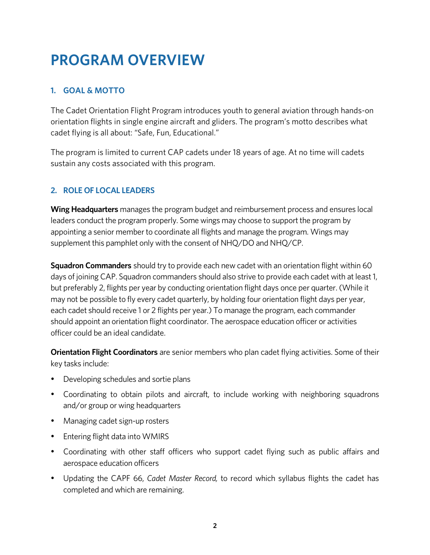# **PROGRAM OVERVIEW**

## **1. GOAL & MOTTO**

The Cadet Orientation Flight Program introduces youth to general aviation through hands-on orientation flights in single engine aircraft and gliders. The program's motto describes what cadet flying is all about: "Safe, Fun, Educational."

The program is limited to current CAP cadets under 18 years of age. At no time will cadets sustain any costs associated with this program.

## **2. ROLE OF LOCAL LEADERS**

**Wing Headquarters** manages the program budget and reimbursement process and ensures local leaders conduct the program properly. Some wings may choose to support the program by appointing a senior member to coordinate all flights and manage the program. Wings may supplement this pamphlet only with the consent of NHQ/DO and NHQ/CP.

**Squadron Commanders** should try to provide each new cadet with an orientation flight within 60 days of joining CAP. Squadron commanders should also strive to provide each cadet with at least 1, but preferably 2, flights per year by conducting orientation flight days once per quarter. (While it may not be possible to fly every cadet quarterly, by holding four orientation flight days per year, each cadet should receive 1 or 2 flights per year.) To manage the program, each commander should appoint an orientation flight coordinator. The aerospace education officer or activities officer could be an ideal candidate.

**Orientation Flight Coordinators** are senior members who plan cadet flying activities. Some of their key tasks include:

- Developing schedules and sortie plans
- Coordinating to obtain pilots and aircraft, to include working with neighboring squadrons and/or group or wing headquarters
- Managing cadet sign-up rosters
- Entering flight data into WMIRS
- Coordinating with other staff officers who support cadet flying such as public affairs and aerospace education officers
- Updating the CAPF 66, *Cadet Master Record,* to record which syllabus flights the cadet has completed and which are remaining.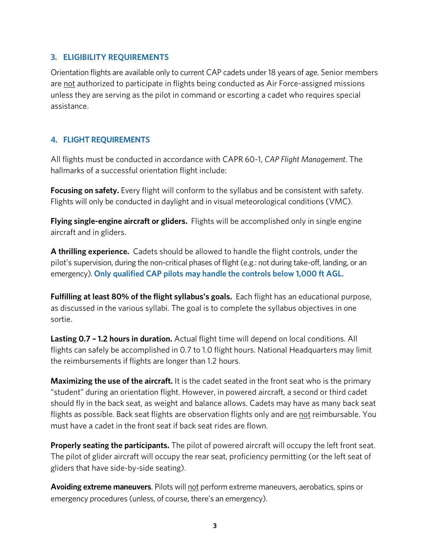#### **3. ELIGIBILITY REQUIREMENTS**

Orientation flights are available only to current CAP cadets under 18 years of age. Senior members are not authorized to participate in flights being conducted as Air Force-assigned missions unless they are serving as the pilot in command or escorting a cadet who requires special assistance.

#### **4. FLIGHT REQUIREMENTS**

All flights must be conducted in accordance with CAPR 60-1, *CAP Flight Management.* The hallmarks of a successful orientation flight include:

**Focusing on safety.** Every flight will conform to the syllabus and be consistent with safety. Flights will only be conducted in daylight and in visual meteorological conditions (VMC).

**Flying single-engine aircraft or gliders.** Flights will be accomplished only in single engine aircraft and in gliders.

**A thrilling experience.** Cadets should be allowed to handle the flight controls, under the pilot's supervision, during the non-critical phases of flight (e.g.: not during take-off, landing, or an emergency). **Only qualified CAP pilots may handle the controls below 1,000 ft AGL.**

**Fulfilling at least 80% of the flight syllabus's goals.** Each flight has an educational purpose, as discussed in the various syllabi. The goal is to complete the syllabus objectives in one sortie.

**Lasting 0.7 – 1.2 hours in duration.** Actual flight time will depend on local conditions. All flights can safely be accomplished in 0.7 to 1.0 flight hours. National Headquarters may limit the reimbursements if flights are longer than 1.2 hours.

**Maximizing the use of the aircraft.** It is the cadet seated in the front seat who is the primary "student" during an orientation flight. However, in powered aircraft, a second or third cadet should fly in the back seat, as weight and balance allows. Cadets may have as many back seat flights as possible. Back seat flights are observation flights only and are not reimbursable. You must have a cadet in the front seat if back seat rides are flown.

**Properly seating the participants.** The pilot of powered aircraft will occupy the left front seat. The pilot of glider aircraft will occupy the rear seat, proficiency permitting (or the left seat of gliders that have side-by-side seating).

Avoiding extreme maneuvers. Pilots will not perform extreme maneuvers, aerobatics, spins or emergency procedures (unless, of course, there's an emergency).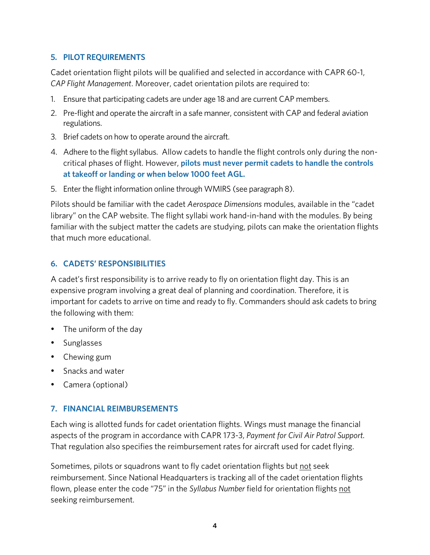#### **5. PILOT REQUIREMENTS**

Cadet orientation flight pilots will be qualified and selected in accordance with CAPR 60-1, *CAP Flight Management*. Moreover, cadet orientation pilots are required to:

- 1. Ensure that participating cadets are under age 18 and are current CAP members.
- 2. Pre-flight and operate the aircraft in a safe manner, consistent with CAP and federal aviation regulations.
- 3. Brief cadets on how to operate around the aircraft.
- 4. Adhere to the flight syllabus. Allow cadets to handle the flight controls only during the noncritical phases of flight. However, **pilots must never permit cadets to handle the controls at takeoff or landing or when below 1000 feet AGL.**
- 5. Enter the flight information online through WMIRS (see paragraph 8).

Pilots should be familiar with the cadet *Aerospace Dimensions* modules, available in the "cadet library" on the CAP website. The flight syllabi work hand-in-hand with the modules. By being familiar with the subject matter the cadets are studying, pilots can make the orientation flights that much more educational.

#### **6. CADETS' RESPONSIBILITIES**

A cadet's first responsibility is to arrive ready to fly on orientation flight day. This is an expensive program involving a great deal of planning and coordination. Therefore, it is important for cadets to arrive on time and ready to fly. Commanders should ask cadets to bring the following with them:

- The uniform of the day
- Sunglasses
- Chewing gum
- Snacks and water
- Camera (optional)

#### **7. FINANCIAL REIMBURSEMENTS**

Each wing is allotted funds for cadet orientation flights. Wings must manage the financial aspects of the program in accordance with CAPR 173-3, *Payment for Civil Air Patrol Support.* That regulation also specifies the reimbursement rates for aircraft used for cadet flying.

Sometimes, pilots or squadrons want to fly cadet orientation flights but not seek reimbursement. Since National Headquarters is tracking all of the cadet orientation flights flown, please enter the code "75" in the *Syllabus Number* field for orientation flights not seeking reimbursement.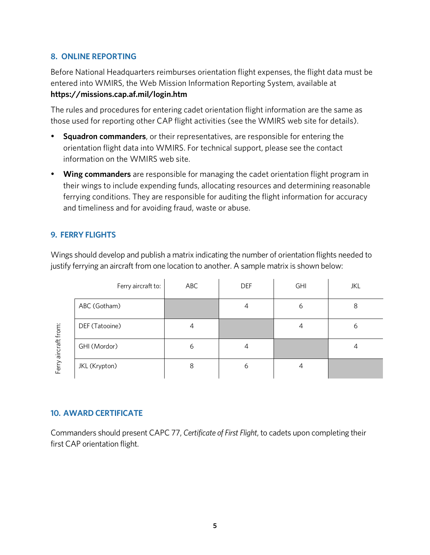#### **8. ONLINE REPORTING**

Before National Headquarters reimburses orientation flight expenses, the flight data must be entered into WMIRS, the Web Mission Information Reporting System, available at **https://missions.cap.af.mil/login.htm**

The rules and procedures for entering cadet orientation flight information are the same as those used for reporting other CAP flight activities (see the WMIRS web site for details).

- **Squadron commanders**, or their representatives, are responsible for entering the orientation flight data into WMIRS. For technical support, please see the contact information on the WMIRS web site.
- **Wing commanders** are responsible for managing the cadet orientation flight program in their wings to include expending funds, allocating resources and determining reasonable ferrying conditions. They are responsible for auditing the flight information for accuracy and timeliness and for avoiding fraud, waste or abuse.

#### **9. FERRY FLIGHTS**

Wings should develop and publish a matrix indicating the number of orientation flights needed to justify ferrying an aircraft from one location to another. A sample matrix is shown below:

|                | Ferry aircraft to: | ABC | <b>DEF</b> | <b>GHI</b> | JKL |
|----------------|--------------------|-----|------------|------------|-----|
|                | ABC (Gotham)       |     |            | 6          | 8   |
|                | DEF (Tatooine)     |     |            |            | 6   |
| aircraft from: | GHI (Mordor)       | 6   |            |            |     |
| Ferry          | JKL (Krypton)      |     | 6          |            |     |

#### **10. AWARD CERTIFICATE**

Commanders should present CAPC 77, *Certificate of First Flight*, to cadets upon completing their first CAP orientation flight.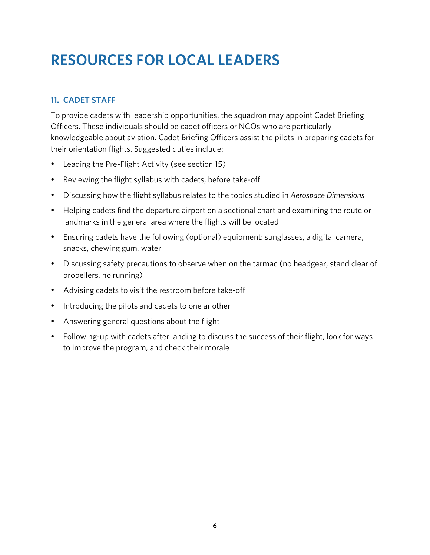# **RESOURCES FOR LOCAL LEADERS**

## **11. CADET STAFF**

To provide cadets with leadership opportunities, the squadron may appoint Cadet Briefing Officers. These individuals should be cadet officers or NCOs who are particularly knowledgeable about aviation. Cadet Briefing Officers assist the pilots in preparing cadets for their orientation flights. Suggested duties include:

- Leading the Pre-Flight Activity (see section 15)
- Reviewing the flight syllabus with cadets, before take-off
- Discussing how the flight syllabus relates to the topics studied in *Aerospace Dimensions*
- Helping cadets find the departure airport on a sectional chart and examining the route or landmarks in the general area where the flights will be located
- Ensuring cadets have the following (optional) equipment: sunglasses, a digital camera, snacks, chewing gum, water
- Discussing safety precautions to observe when on the tarmac (no headgear, stand clear of propellers, no running)
- Advising cadets to visit the restroom before take-off
- Introducing the pilots and cadets to one another
- Answering general questions about the flight
- Following-up with cadets after landing to discuss the success of their flight, look for ways to improve the program, and check their morale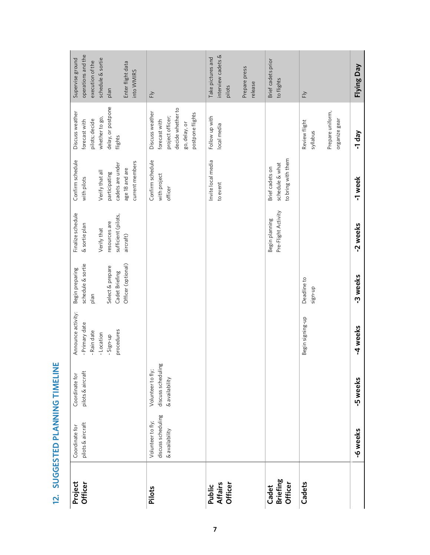| Project<br>Officer                  | pilots & aircraft<br>Coordinate for                       | pilots & aircraft<br>Coordinate for                       | Announce activity:<br>- Primary date<br>procedures<br>- Rain date<br>- Location<br>-Sign-up | schedule & sortie<br>Officer (optional)<br>Select & prepare<br>Begin preparing<br>Cadet Briefing<br>plan | Finalize schedule<br>sufficient (pilots,<br>resources are<br>& sortie plan<br>Verify that<br>aircraft) | Confirm schedule<br>current members<br>cadets are under<br>age 18 and are<br>Verify that all<br>participating<br>with pilots | delay, or postpone<br>Discuss weather<br>whether to go,<br>pilots; decide<br>forecast with<br>flights          | operations and the<br>schedule & sortie<br>Supervise ground<br>execution of the<br>Enter flight data<br>into WMIRS<br>plan |
|-------------------------------------|-----------------------------------------------------------|-----------------------------------------------------------|---------------------------------------------------------------------------------------------|----------------------------------------------------------------------------------------------------------|--------------------------------------------------------------------------------------------------------|------------------------------------------------------------------------------------------------------------------------------|----------------------------------------------------------------------------------------------------------------|----------------------------------------------------------------------------------------------------------------------------|
| Pilots                              | discuss scheduling<br>Volunteer to fly;<br>& availability | discuss scheduling<br>Volunteer to fly;<br>& availability |                                                                                             |                                                                                                          |                                                                                                        | Confirm schedule<br>with project<br>officer                                                                                  | decide whether to<br>Discuss weather<br>postpone flights<br>project officer;<br>forecast with<br>go, delay, or | $\overline{\mathsf{F}}$                                                                                                    |
| <b>Affairs</b><br>Officer<br>Public |                                                           |                                                           |                                                                                             |                                                                                                          |                                                                                                        | Invite local media<br>to event                                                                                               | Follow up with<br>local media                                                                                  | interview cadets &<br>Take pictures and<br>Prepare press<br>release<br>pilots                                              |
| <b>Briefing</b><br>Officer<br>Cadet |                                                           |                                                           |                                                                                             |                                                                                                          | Pre-Flight Activity<br>Begin planning                                                                  | to bring with them<br>schedule & what<br>Brief cadets on                                                                     |                                                                                                                | Brief cadets prior<br>to flights                                                                                           |
| Cadets                              |                                                           |                                                           | Begin signing-up                                                                            | Deadline to<br>sign-up                                                                                   |                                                                                                        |                                                                                                                              | Prepare uniform,<br>organize gear<br>Review flight<br>syllabus                                                 | $\overline{\mathsf{F}}$                                                                                                    |
|                                     | -6 weeks                                                  | 5 weeks                                                   | -4 weeks                                                                                    | 3 weeks                                                                                                  | -2 weeks                                                                                               | -1 week                                                                                                                      | -1 day                                                                                                         | Flying Day                                                                                                                 |

12. SUGGESTED PLANNING TIMELINE **12. SUGGESTED PLANNING TIMELINE**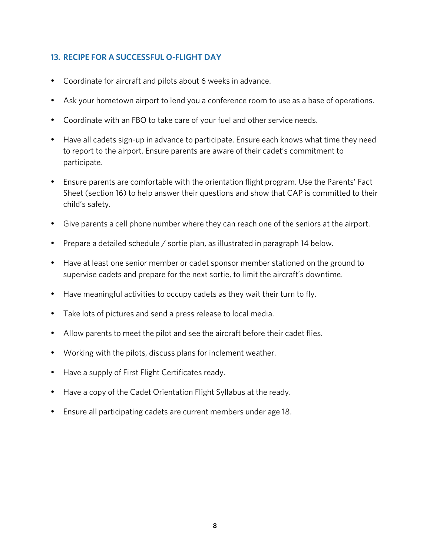#### **13. RECIPE FOR A SUCCESSFUL O-FLIGHT DAY**

- Coordinate for aircraft and pilots about 6 weeks in advance.
- Ask your hometown airport to lend you a conference room to use as a base of operations.
- Coordinate with an FBO to take care of your fuel and other service needs.
- Have all cadets sign-up in advance to participate. Ensure each knows what time they need to report to the airport. Ensure parents are aware of their cadet's commitment to participate.
- Ensure parents are comfortable with the orientation flight program. Use the Parents' Fact Sheet (section 16) to help answer their questions and show that CAP is committed to their child's safety.
- Give parents a cell phone number where they can reach one of the seniors at the airport.
- Prepare a detailed schedule / sortie plan, as illustrated in paragraph 14 below.
- Have at least one senior member or cadet sponsor member stationed on the ground to supervise cadets and prepare for the next sortie, to limit the aircraft's downtime.
- Have meaningful activities to occupy cadets as they wait their turn to fly.
- Take lots of pictures and send a press release to local media.
- Allow parents to meet the pilot and see the aircraft before their cadet flies.
- Working with the pilots, discuss plans for inclement weather.
- Have a supply of First Flight Certificates ready.
- Have a copy of the Cadet Orientation Flight Syllabus at the ready.
- Ensure all participating cadets are current members under age 18.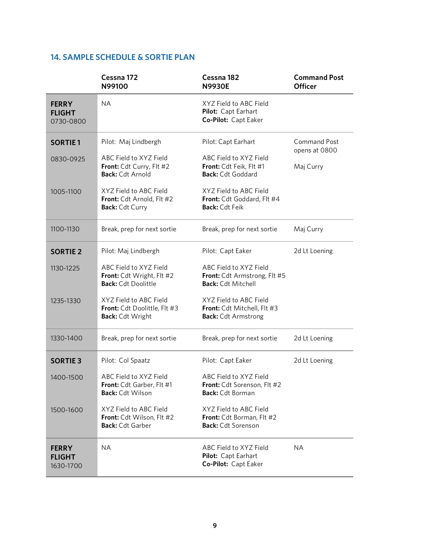#### **14. SAMPLE SCHEDULE & SORTIE PLAN**

|                                            | Cessna 172<br>N99100                                                              | Cessna 182<br><b>N9930E</b>                                                         | <b>Command Post</b><br><b>Officer</b> |
|--------------------------------------------|-----------------------------------------------------------------------------------|-------------------------------------------------------------------------------------|---------------------------------------|
| <b>FERRY</b><br><b>FLIGHT</b><br>0730-0800 | <b>NA</b>                                                                         | XYZ Field to ABC Field<br>Pilot: Capt Earhart<br>Co-Pilot: Capt Eaker               |                                       |
| <b>SORTIE1</b>                             | Pilot: Maj Lindbergh                                                              | Pilot: Capt Earhart                                                                 | <b>Command Post</b><br>opens at 0800  |
| 0830-0925                                  | ABC Field to XYZ Field<br>Front: Cdt Curry, Flt #2<br><b>Back: Cdt Arnold</b>     | ABC Field to XYZ Field<br>Front: Cdt Feik, Flt #1<br><b>Back: Cdt Goddard</b>       | Maj Curry                             |
| 1005-1100                                  | XYZ Field to ABC Field<br>Front: Cdt Arnold, Flt #2<br>Back: Cdt Curry            | XYZ Field to ABC Field<br>Front: Cdt Goddard, Flt #4<br><b>Back: Cdt Feik</b>       |                                       |
| 1100-1130                                  | Break, prep for next sortie                                                       | Break, prep for next sortie                                                         | Maj Curry                             |
| <b>SORTIE 2</b>                            | Pilot: Maj Lindbergh                                                              | Pilot: Capt Eaker                                                                   | 2d Lt Loening                         |
| 1130-1225                                  | ABC Field to XYZ Field<br>Front: Cdt Wright, Flt #2<br><b>Back: Cdt Doolittle</b> | ABC Field to XYZ Field<br>Front: Cdt Armstrong, Flt #5<br><b>Back: Cdt Mitchell</b> |                                       |
| 1235-1330                                  | XYZ Field to ABC Field<br>Front: Cdt Doolittle, Flt #3<br><b>Back: Cdt Wright</b> | XYZ Field to ABC Field<br>Front: Cdt Mitchell, Flt #3<br><b>Back:</b> Cdt Armstrong |                                       |
| 1330-1400                                  | Break, prep for next sortie                                                       | Break, prep for next sortie                                                         | 2d Lt Loening                         |
| <b>SORTIE 3</b>                            | Pilot: Col Spaatz                                                                 | Pilot: Capt Eaker                                                                   | 2d Lt Loening                         |
| 1400-1500                                  | ABC Field to XYZ Field<br>Front: Cdt Garber, Flt #1<br><b>Back: Cdt Wilson</b>    | ABC Field to XYZ Field<br>Front: Cdt Sorenson, Flt #2<br><b>Back: Cdt Borman</b>    |                                       |
| 1500-1600                                  | XYZ Field to ABC Field<br>Front: Cdt Wilson, Flt #2<br><b>Back: Cdt Garber</b>    | XYZ Field to ABC Field<br>Front: Cdt Borman, Flt #2<br><b>Back: Cdt Sorenson</b>    |                                       |
| <b>FERRY</b><br><b>FLIGHT</b><br>1630-1700 | <b>NA</b>                                                                         | ABC Field to XYZ Field<br>Pilot: Capt Earhart<br>Co-Pilot: Capt Eaker               | <b>NA</b>                             |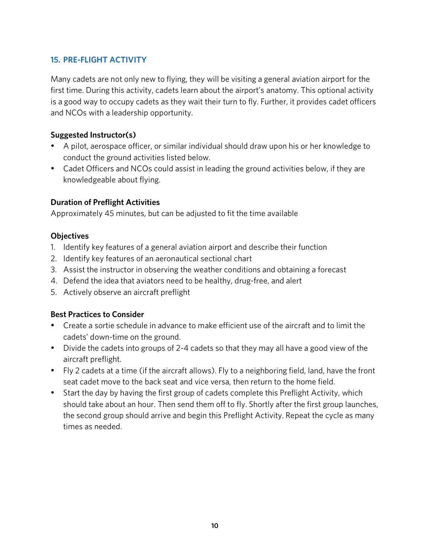### **15. PRE-FLIGHT ACTIVITY**

Many cadets are not only new to flying, they will be visiting a general aviation airport for the first time. During this activity, cadets learn about the airport's anatomy. This optional activity is a good way to occupy cadets as they wait their turn to fly. Further, it provides cadet officers and NCOs with a leadership opportunity.

#### **Suggested Instructor(s)**

- A pilot, aerospace officer, or similar individual should draw upon his or her knowledge to conduct the ground activities listed below.
- Cadet Officers and NCOs could assist in leading the ground activities below, if they are knowledgeable about flying.

#### **Duration of Preflight Activities**

Approximately 45 minutes, but can be adjusted to fit the time available

#### **Objectives**

- 1. Identify key features of a general aviation airport and describe their function
- 2. Identify key features of an aeronautical sectional chart
- 3. Assist the instructor in observing the weather conditions and obtaining a forecast
- 4. Defend the idea that aviators need to be healthy, drug-free, and alert
- 5. Actively observe an aircraft preflight

#### **Best Practices to Consider**

- Create a sortie schedule in advance to make efficient use of the aircraft and to limit the cadets' down-time on the ground.
- Divide the cadets into groups of 2-4 cadets so that they may all have a good view of the aircraft preflight.
- Fly 2 cadets at a time (if the aircraft allows). Fly to a neighboring field, land, have the front seat cadet move to the back seat and vice versa, then return to the home field.
- Start the day by having the first group of cadets complete this Preflight Activity, which should take about an hour. Then send them off to fly. Shortly after the first group launches, the second group should arrive and begin this Preflight Activity. Repeat the cycle as many times as needed.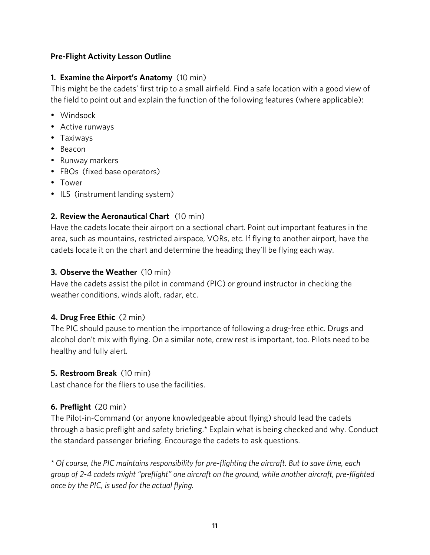#### **Pre-Flight Activity Lesson Outline**

#### **1. Examine the Airport's Anatomy** (10 min)

This might be the cadets' first trip to a small airfield. Find a safe location with a good view of the field to point out and explain the function of the following features (where applicable):

- Windsock
- Active runways
- Taxiways
- Beacon
- Runway markers
- FBOs (fixed base operators)
- Tower
- ILS (instrument landing system)

### **2. Review the Aeronautical Chart** (10 min)

Have the cadets locate their airport on a sectional chart. Point out important features in the area, such as mountains, restricted airspace, VORs, etc. If flying to another airport, have the cadets locate it on the chart and determine the heading they'll be flying each way.

#### **3. Observe the Weather** (10 min)

Have the cadets assist the pilot in command (PIC) or ground instructor in checking the weather conditions, winds aloft, radar, etc.

### **4. Drug Free Ethic** (2 min)

The PIC should pause to mention the importance of following a drug-free ethic. Drugs and alcohol don't mix with flying. On a similar note, crew rest is important, too. Pilots need to be healthy and fully alert.

#### **5. Restroom Break** (10 min)

Last chance for the fliers to use the facilities.

### **6. Preflight** (20 min)

The Pilot-in-Command (or anyone knowledgeable about flying) should lead the cadets through a basic preflight and safety briefing.\* Explain what is being checked and why. Conduct the standard passenger briefing. Encourage the cadets to ask questions.

*\* Of course, the PIC maintains responsibility for pre-flighting the aircraft. But to save time, each group of 2-4 cadets might "preflight" one aircraft on the ground, while another aircraft, pre-flighted once by the PIC, is used for the actual flying.*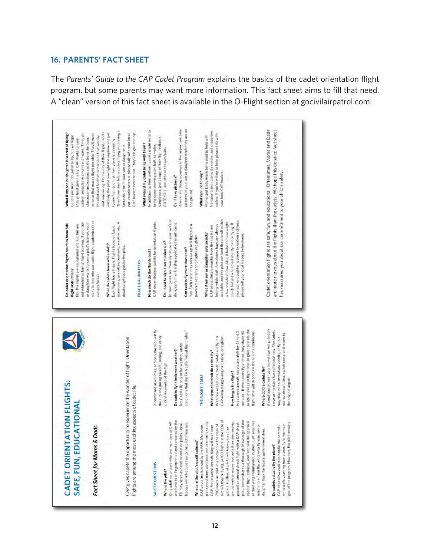#### **16. PARENTS' FACT SHEET**

The *Parents' Guide to the CAP Cadet Program* explains the basics of the cadet orientation flight program, but some parents may want more information. This fact sheet aims to fill that need. A "clean" version of this fact sheet is available in the O-Flight section at gocivilairpatrol.com.

| What if my son or daughter is scared of flying?<br>cadets' anxieties in a number of ways. Through<br>Cadets are never obligated to fly, but we hope<br>they at least give it a try. CAP works to ease | and reassuring. On the day of their flight, cadets<br>science that makes flight possible. They'll meet<br>the pilot and find him or her to be trustworthy<br>classroom instruction, cade(s learn the basic | They'll see their fellow cadets flying and having a<br>CAP leaders beforehand. They'll be glad to help.<br>will help the pilot pre-flight the airplane and get<br>particularly nervous, please talk with your local<br>to see firsthand that their plane is alrworthy.<br>fantastic time. If your son or daughter is | In addition to their uniform, cadets might want to<br>sunglasses, and a copy of their flight syllabus.<br>What should my cadet bring with them?<br>bring some chewing gum, bottled water, | Absolutely. Bring a camera to the arroort and take<br>CAPP 52-7, available at cap rov/pubs.<br>Can I take pictures?                            | partures of your son or daughter while they are on<br>the ground                                                                  | transportation, to provide snacks, and chaperone<br>Morris and Dads might be needed to help with<br>What can I do to help? | cadels. If you're willing to help, please lalk willy<br>your local CAP leaders.                                                                                                                                                                                             |                                                                                                                                                                    |                                                                                                                                                                                                                                              |
|-------------------------------------------------------------------------------------------------------------------------------------------------------------------------------------------------------|------------------------------------------------------------------------------------------------------------------------------------------------------------------------------------------------------------|----------------------------------------------------------------------------------------------------------------------------------------------------------------------------------------------------------------------------------------------------------------------------------------------------------------------|-------------------------------------------------------------------------------------------------------------------------------------------------------------------------------------------|------------------------------------------------------------------------------------------------------------------------------------------------|-----------------------------------------------------------------------------------------------------------------------------------|----------------------------------------------------------------------------------------------------------------------------|-----------------------------------------------------------------------------------------------------------------------------------------------------------------------------------------------------------------------------------------------------------------------------|--------------------------------------------------------------------------------------------------------------------------------------------------------------------|----------------------------------------------------------------------------------------------------------------------------------------------------------------------------------------------------------------------------------------------|
| not intended as formal flight training. If your son<br>Do cadet orientation flights count as bona fide<br>No. The flights are educational and fun, but are<br><b>Hight instruction?</b>               | want to look into our cadet flight academies (see<br>or daughter wants to earn a pilot's license, you'll<br>cap.gov/ncsa)                                                                                  | maneuvers aircraft instruments, weather, etc. A<br>Each flight has a theme. Flights focus on basic<br>What do cadets learn while aloft?<br>detailed syllabus guides the pilot.<br><b>PRACTICAL MATTERS</b>                                                                                                           | CAP never charges cadels for orientation flights.<br>How much do the flights cost?                                                                                                        | In most cases, no. Your signature on your son's or<br>daughter's membership application is sufficient.<br>Do I need to sign a permission slip? | Yes. Each cadet may receive up to 5 flights in a<br>powered aircraft and 5 flights in a glider.<br>Can cadets fly more than once? | CAP pilots closely monitor how the cadets are<br>What if my son or daughter gets airsick?                                  | available, and the pilot can land the aircraft within<br>your son or daughter is prone to motion sickness<br>a few minutes' time. Also, it helps to have a light<br>snack but not a full meal shortly before flying. If<br>leeling while aloft. Airsickness bags are always | please tell your local leaders beforehand.                                                                                                                         | Cadet orientation flights are safe, fun, and educational. Oftentimes, Moms and Dads<br>are more nervous about the flights than the cadets. We hope this detailed fact sheet<br>has reassured you about our commitment to your child's safety |
|                                                                                                                                                                                                       |                                                                                                                                                                                                            |                                                                                                                                                                                                                                                                                                                      | in command at all times, and only the pilot will fly<br>the airplane during takeoff, landing, and other                                                                                   |                                                                                                                                                | conditions that the FAA calls "visual flight rules."                                                                              |                                                                                                                            | In powered aircraft, cadets are aloft for 45 to 60                                                                                                                                                                                                                          | to 120 minutes of flight time, In glider aircraft, the<br>minutes. If I wo cadets fly at once, they share 90<br>flight time will depend on the soaring conditions. | A small airport near your hometown will probably<br>serve as the day's base of operations. The cadets<br>nearby alrport, land, switch seats, and return to                                                                                   |
| <b>CADET ORIENTATION FLIGHTS:</b><br>ATIONAL                                                                                                                                                          |                                                                                                                                                                                                            | CAP gives cadets the opportunity to experience the wonder of flight. Orientation<br>flights are among the most exciting aspects of cadet life.                                                                                                                                                                       |                                                                                                                                                                                           | No. Cadets fly only in fair weather, under<br>Do cadets fly in inclement weather?<br>critical moments of the flight.                           |                                                                                                                                   | What type of aircraft do cadets fly?<br>THE PLIGHT ITSELF                                                                  | With few exceptions, most cadets will fly in a<br>CAP-owned single-engine Cessna, or a glider<br>How long is the flight?                                                                                                                                                    | Where do the cadets fly?                                                                                                                                           | may stay in the immediate vicinity, or fly to a<br>the original airport.                                                                                                                                                                     |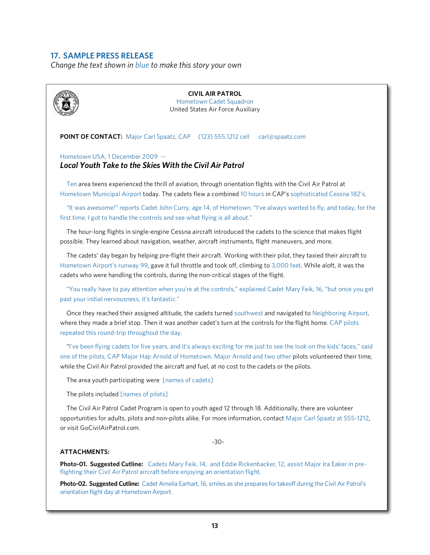#### **17. SAMPLE PRESS RELEASE**

*Change the text shown in blue to make this story your own*

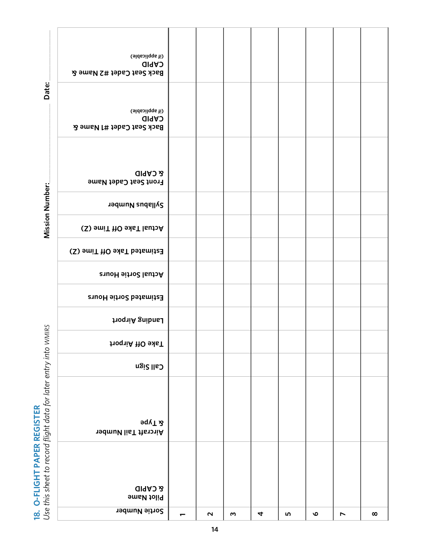**18. O-FLIGHT PAPER REGISTER**

|                                                                 | Sortie Number                                                | $\overline{\phantom{0}}$ | $\mathbf{\Omega}$ | w | 4 | rU) | ৩ | $\overline{\phantom{0}}$ | $\infty$ |
|-----------------------------------------------------------------|--------------------------------------------------------------|--------------------------|-------------------|---|---|-----|---|--------------------------|----------|
|                                                                 | <b>GIRAD</b><br>Pilot Name                                   |                          |                   |   |   |     |   |                          |          |
| Use this sheet to record flight data for later entry into WMIRS | <b>aqvT</b> &<br><b>Aircraft Tail Number</b>                 |                          |                   |   |   |     |   |                          |          |
|                                                                 | <b>Call Sign</b>                                             |                          |                   |   |   |     |   |                          |          |
|                                                                 | Take Off Airport                                             |                          |                   |   |   |     |   |                          |          |
|                                                                 | Landing Airport                                              |                          |                   |   |   |     |   |                          |          |
|                                                                 | Estimated Sortie Hours                                       |                          |                   |   |   |     |   |                          |          |
|                                                                 | <b>Actual Sortie Hours</b>                                   |                          |                   |   |   |     |   |                          |          |
|                                                                 | Estimated Take Off Time (Z)                                  |                          |                   |   |   |     |   |                          |          |
| Mission Number:                                                 | Syllabus Number<br>Actual Take Off Time (Z)                  |                          |                   |   |   |     |   |                          |          |
|                                                                 | <b>GIRAD B</b><br>Front Seat Cadet Name                      |                          |                   |   |   |     |   |                          |          |
| Date:                                                           | (if applicable)<br><b>CAPID</b><br>Back Seat Cadet #1 Name & |                          |                   |   |   |     |   |                          |          |
|                                                                 | (if applicable)<br><b>CAPID</b><br>Back Seat Cadet #2 Name & |                          |                   |   |   |     |   |                          |          |
|                                                                 |                                                              |                          |                   |   |   |     |   |                          |          |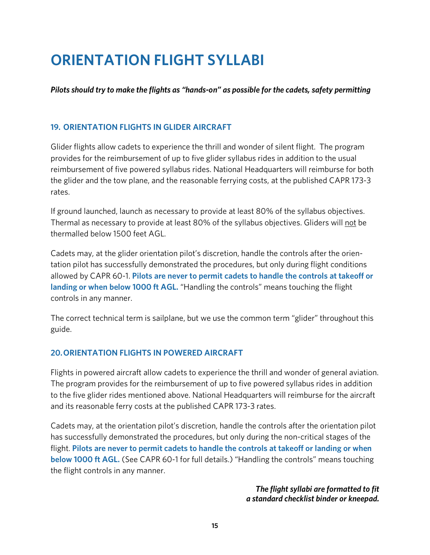# **ORIENTATION FLIGHT SYLLABI**

*Pilots should try to make the flights as "hands-on" as possible for the cadets, safety permitting*

## **19. ORIENTATION FLIGHTS IN GLIDER AIRCRAFT**

Glider flights allow cadets to experience the thrill and wonder of silent flight. The program provides for the reimbursement of up to five glider syllabus rides in addition to the usual reimbursement of five powered syllabus rides. National Headquarters will reimburse for both the glider and the tow plane, and the reasonable ferrying costs, at the published CAPR 173-3 rates.

If ground launched, launch as necessary to provide at least 80% of the syllabus objectives. Thermal as necessary to provide at least 80% of the syllabus objectives. Gliders will not be thermalled below 1500 feet AGL.

Cadets may, at the glider orientation pilot's discretion, handle the controls after the orientation pilot has successfully demonstrated the procedures, but only during flight conditions allowed by CAPR 60-1. **Pilots are never to permit cadets to handle the controls at takeoff or landing or when below 1000 ft AGL.** "Handling the controls" means touching the flight controls in any manner.

The correct technical term is sailplane, but we use the common term "glider" throughout this guide.

## **20.ORIENTATION FLIGHTS IN POWERED AIRCRAFT**

Flights in powered aircraft allow cadets to experience the thrill and wonder of general aviation. The program provides for the reimbursement of up to five powered syllabus rides in addition to the five glider rides mentioned above. National Headquarters will reimburse for the aircraft and its reasonable ferry costs at the published CAPR 173-3 rates.

Cadets may, at the orientation pilot's discretion, handle the controls after the orientation pilot has successfully demonstrated the procedures, but only during the non-critical stages of the flight. **Pilots are never to permit cadets to handle the controls at takeoff or landing or when below 1000 ft AGL.** (See CAPR 60-1 for full details.) "Handling the controls" means touching the flight controls in any manner.

> *The flight syllabi are formatted to fit a standard checklist binder or kneepad.*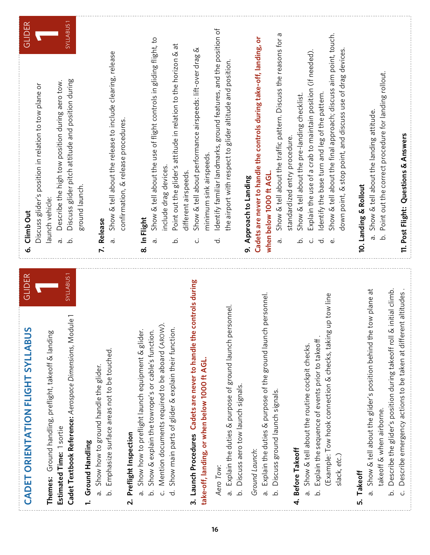| <b>GLIDER</b><br>CADET ORIENTATION FLIGHT SYLLABUS                                | GLIDER<br>Climb Out<br>Ġ                                                                   |
|-----------------------------------------------------------------------------------|--------------------------------------------------------------------------------------------|
|                                                                                   | Discuss glider's position in relation to tow plane or                                      |
| Themes: Ground handling, preflight, takeoff & landing                             | launch vehicle:                                                                            |
| Estimated Time: 1 sortie                                                          | Describe the high tow position during aero tow.<br>ä                                       |
| SYLLABUS <sub>1</sub><br>Cadet Textbook Reference: Aerospace Dimensions, Module 1 | SYLLABUS <sub>1</sub><br>Discuss glider pitch attitude and position during<br>نم           |
| Ground Handling                                                                   | ground launch.                                                                             |
| Show how to ground handle the glider.<br>.<br>M                                   | Release<br>$\ddot{\sim}$                                                                   |
| Emphasize surface areas not to be touched.<br>.<br>ف                              | Show & tell about the release to include clearing, release<br>ā                            |
| Preflight Inspection<br>$\overline{\mathbf{N}}$                                   | confirmation, & release procedures.                                                        |
| Show how to preflight launch equipment & glider<br>ā                              | In Flight<br>ထံ                                                                            |
| Show & explain the towrope's or cable's function.<br>نم                           | Show & tell about the use of flight controls in gliding flight, to<br>ä                    |
| Mention documents required to be aboard (AROW).<br>.<br>ن                         | include drag devices.                                                                      |
| Show main parts of glider & explain their function.<br>ಕ                          | Point out the glider's attitude in relation to the horizon & at<br>.<br>ف                  |
|                                                                                   | different airspeeds.                                                                       |
| controls during<br>3. Launch Procedures Cadets are never to handle the            | Ø<br>Show & tell about performance airspeeds: lift-over drag<br>ن                          |
| take-off, landing, or when below 1000 ft AGL.                                     | minimum sink airspeeds.                                                                    |
| Aero Tow:                                                                         | Identify familiar landmarks, ground features, and the position of<br>ಕ                     |
| rsonnel.<br>Explain the duties & purpose of ground launch pe<br>.<br>M            | the airport with respect to glider altitude and position.                                  |
| Discuss aero tow launch signals.<br>نم                                            |                                                                                            |
|                                                                                   | 9. Approach to Landing                                                                     |
| Ground Launch:                                                                    | Cadets are never to handle the controls during take-off, landing, or                       |
| personnel.<br>a. Explain the duties & purpose of the ground launch                | when below 1000 ft AGL.                                                                    |
| Discuss ground launch signals.<br>.<br>ف                                          | Show & tell about the traffic pattern. Discuss the reasons for a<br>ä                      |
|                                                                                   | standardized entry procedure.                                                              |
| 4. Before Takeoff                                                                 | Show & tell about the pre-landing checklist.<br>.<br>ت                                     |
| Show & tell about the routine cockpit checks.<br>ā                                | Explain the use of a crab to maintain position (if needed).<br>ن                           |
| Explain the sequence of events prior to takeoff.<br>نم                            | Identify the base turn and leg of the pattern.<br>ರ                                        |
| up tow line<br>(Example: Tow hook connection & checks, taking                     | Show & tell about the final approach; discuss aim point, touch.<br>$\dot{\mathbf{\omega}}$ |
| slack, etc.)                                                                      | down point, & stop point, and discuss use of drag devices                                  |
| 5. Takeoff                                                                        | 10. Landing & Rollout                                                                      |
| tow plane at<br>Show & tell about the glider's position behind the<br>ā           | Show & tell about the landing attitude.<br>ā                                               |
| takeoff & when airborne.                                                          | Point out the correct procedure for landing rollout.<br>نم                                 |
| Describe the glider's position during takeoff roll & initial climb.<br>نم         |                                                                                            |
| Describe emergency actions to be taken at different altitudes.<br>ن               | 11. Post Flight: Questions & Answers                                                       |

. . . . . . .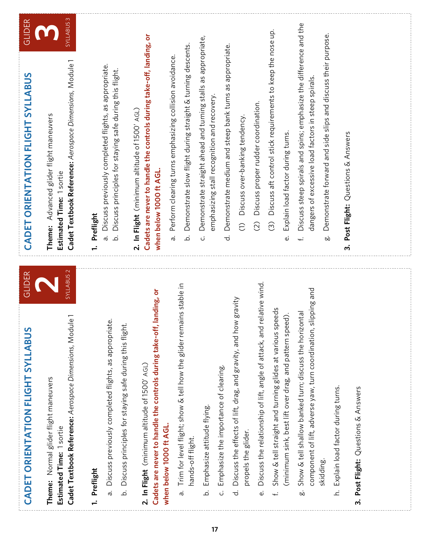| <b>GLIDER</b><br>CADET ORIENTATION FLIGHT SYLLABUS | <b>SYLLABUS3</b><br>Cadet Textbook Reference: Aerospace Dimensions, Module 1<br>Advanced glider flight maneuvers<br>Estimated Time: 1 sortie<br>Theme:  | Discuss previously completed flights, as appropriate.<br>Discuss principles for staying safe during this flight.<br>Preflight<br>ā,<br>نم<br>$\div$    | Cadets are never to handle the controls during take-off, landing, or<br>2. In Flight (minimum altitude of 1500' AGL)<br>when below 1000 ft AGL. | Demonstrate slow flight during straight & turning descents.<br>Perform clearing turns emphasizing collision avoidance.<br>.<br>ف<br>ā | Demonstrate straight ahead and turning stalls as appropriate,<br>emphasizing stall recognition and recovery<br>.<br>ن | Demonstrate medium and steep bank turns as appropriate.<br>$\vec{\sigma}$                                          | Discuss over-banking tendency.<br>$\widehat{\subset}$ | Discuss proper rudder coordination.<br>$\widehat{C}$                           | Discuss aft control stick requirements to keep the nose up.<br>Explain load factor during turns.<br>$\widehat{\odot}$<br>نه | Discuss steep spirals and spins; emphasize the difference and the<br>dangers of excessive load factors in steep spirals.<br><u>ب</u>          | Demonstrate forward and side slips and discuss their purpose.<br>οò | Post Flight: Questions & Answers<br>ന് |
|----------------------------------------------------|---------------------------------------------------------------------------------------------------------------------------------------------------------|--------------------------------------------------------------------------------------------------------------------------------------------------------|-------------------------------------------------------------------------------------------------------------------------------------------------|---------------------------------------------------------------------------------------------------------------------------------------|-----------------------------------------------------------------------------------------------------------------------|--------------------------------------------------------------------------------------------------------------------|-------------------------------------------------------|--------------------------------------------------------------------------------|-----------------------------------------------------------------------------------------------------------------------------|-----------------------------------------------------------------------------------------------------------------------------------------------|---------------------------------------------------------------------|----------------------------------------|
| <b>GLIDER</b><br>CADET ORIENTATION FLIGHT SYLLABUS | SYLLABUS <sub>2</sub><br>Cadet Textbook Reference: Aerospace Dimensions, Module<br>Normal glider flight maneuvers<br>Estimated Time: 1 sortie<br>Theme: | Discuss previously completed flights, as appropriate.<br>Discuss principles for staying safe during this flight.<br>Preflight<br>.<br>ف<br>ä<br>$\div$ | Cadets are never to handle the controls during take-off, landing, or<br>2. In Flight (minimum altitude of 1500' AGL)<br>when below 1000 ft AGL. | is stable in<br>Trim for level flight; show & tell how the glider remain<br>hands-off flight.<br>ā                                    | Emphasize attitude flying.<br>.<br>ف                                                                                  | Discuss the effects of lift, drag, and gravity, and how gravity<br>Emphasize the importance of clearing.<br>ن<br>ಕ | propels the glider.                                   | ative wind<br>Discuss the relationship of lift, angle of attack, and rel<br>نه | Show & tell straight and turning glides at various speeds<br>(minimum sink, best lift over drag, and pattern speed).<br>Ļ.  | component of lift, adverse yaw, turn coordination, slipping and<br>Show & tell shallow banked turn; discuss the horizontal<br>skidding.<br>oo | Explain load factor during turns.<br>.<br>ع                         | Post Flight: Questions & Answers<br>ന് |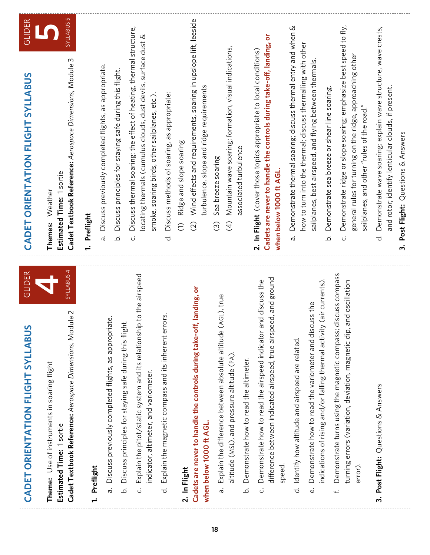| GLIDER<br>CADET ORIENTATION FLIGHT SYLLABUS                                                                                                                     | GLIDER<br>ORIENTATION FLIGHT SYLLABUS<br>CADET                                                                                                                                                                                          |
|-----------------------------------------------------------------------------------------------------------------------------------------------------------------|-----------------------------------------------------------------------------------------------------------------------------------------------------------------------------------------------------------------------------------------|
| SYLLABUS <sub>4</sub><br>Cadet Textbook Reference: Aerospace Dimensions, Module 2<br>Use of instruments in soaring flight<br>Estimated Time: 1 sortie<br>Theme: | <b>SYLLABUS5</b><br>Cadet Textbook Reference: Aerospace Dimensions, Module 3<br>Estimated Time: 1 sortie<br>Weather<br>Themes:                                                                                                          |
| Preflight<br>$\ddot{ }$                                                                                                                                         | Preflight<br>$\div$                                                                                                                                                                                                                     |
| Discuss previously completed flights, as appropriat<br>ä                                                                                                        | Discuss previously completed flights, as appropriate<br>ā                                                                                                                                                                               |
| ڹڢ<br>Discuss principles for staying safe during this flight<br>خ                                                                                               | Discuss principles for staying safe during this flight.<br>نم                                                                                                                                                                           |
| to the airspeed<br>Explain the pitot/static system and its relationship<br>indicator, altimeter, and variometer.<br>ن                                           | Discuss thermal soaring: the effect of heating, thermal structure,<br>locating thermals (cumulus clouds, dust devils, surface dust &<br>smoke, soaring birds, other sailplanes, etc.).<br>ن                                             |
| Explain the magnetic compass and its inherent errors<br>$\vec{\sigma}$                                                                                          | Discuss methods of soaring, as appropriate:<br>$\vec{a}$                                                                                                                                                                                |
| 2. In Flight                                                                                                                                                    | Ridge and slope soaring<br>$\widehat{\cup}$                                                                                                                                                                                             |
| landing, or<br>Cadets are never to handle the controls during take-off,<br>when below 1000 ft AGL.                                                              | Wind effects and requirements, soaring in upslope lift, leeside<br>turbulence, slope and ridge requirements<br>$\widehat{C}$                                                                                                            |
| GL), true<br>Explain the difference between absolute altitude (A<br>ä                                                                                           | Sea breeze soaring<br>$\widehat{\odot}$                                                                                                                                                                                                 |
| altitude (MSL), and pressure altitude (PA).                                                                                                                     | Mountain wave soaring; formation, visual indications,<br>associated turbulence<br>$\overline{4}$                                                                                                                                        |
| Demonstrate how to read the altimeter.<br>خ                                                                                                                     |                                                                                                                                                                                                                                         |
| difference between indicated airspeed, true airspeed, and ground<br>d discuss the<br>Demonstrate how to read the airspeed indicator an<br>speed<br>ن            | Cadets are never to handle the controls during take-off, landing, or<br>2. In Flight (cover those topics appropriate to local conditions)<br>when below 1000 ft AGL.                                                                    |
| Identify how altitude and airspeed are related.<br>ಕ                                                                                                            | Demonstrate thermal soaring; discuss thermal entry and when &<br>how to turn into the thermal; discuss thermalling with other<br>ā                                                                                                      |
| (air currents).<br>Demonstrate how to read the variometer and discuss the<br>indications of rising and/or falling thermal activity (<br>نه                      | sailplanes, best airspeed, and flying between thermals.                                                                                                                                                                                 |
| iscuss compass<br>turning errors (variation, deviation, magnetic dip, and oscillation<br>Demonstrate turns using the magnetic compass; d<br>error)<br>تب        | Demonstrate ridge or slope soaring; emphasize best speed to fly,<br>general rules for turning on the ridge, approaching other<br>Demonstrate sea breeze or shear line soaring.<br>sailplanes, and other "rules of the road."<br>نم<br>ن |
| 3. Post Flight: Questions & Answers                                                                                                                             | Demonstrate wave soaring; explain wave structure, wave crests,<br>and rotor; identify lenticular clouds, if present.<br>Post Flight: Questions & Answers<br>$\vec{d}$<br>ന്                                                             |
|                                                                                                                                                                 |                                                                                                                                                                                                                                         |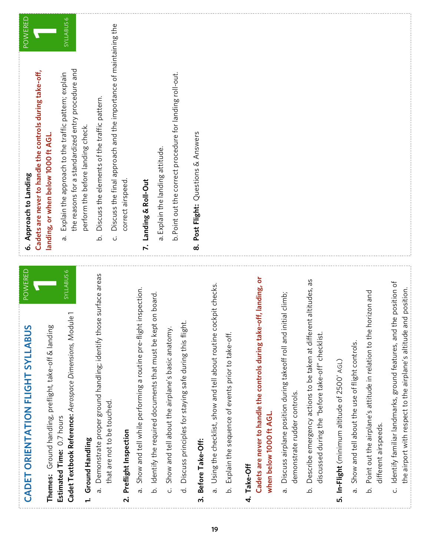| POWERED<br>CADET ORIENTATION FLIGHT SYLLABUS                                                                                               | POWERED<br>6. Approach to Landing                                                                                                    |
|--------------------------------------------------------------------------------------------------------------------------------------------|--------------------------------------------------------------------------------------------------------------------------------------|
|                                                                                                                                            | Cadets are never to handle the controls during take-off,                                                                             |
| Ground handling, preflight, take-off & landing<br>Themes:                                                                                  | landing, or when below 1000 ft AGL.                                                                                                  |
| <b>SYLLABUS 6</b><br>Cadet Textbook Reference: Aerospace Dimensions, Module 1<br>Estimated Time: 0.7 hours                                 | <b>SYLLABUS 6</b><br>the reasons for a standardized entry procedure and<br>Explain the approach to the traffic pattern; explain<br>ā |
| Ground Handling<br>$\ddot{ }$                                                                                                              | perform the before landing check.                                                                                                    |
| Demonstrate proper ground handling; identify those surface areas<br>ā                                                                      | Discuss the elements of the traffic pattern.<br>.<br>ف                                                                               |
| that are not to be touched.                                                                                                                | Discuss the final approach and the importance of maintaining the<br>ن                                                                |
| Preflight Inspection<br>$\overline{\mathbf{v}}$                                                                                            | correct airspeed                                                                                                                     |
| inspection.<br>Show and tell while performing a routine pre-flight<br>ä                                                                    | Landing & Roll-Out<br>$\ddot{\sim}$                                                                                                  |
| on board.<br>b. Identify the required documents that must be kept                                                                          | a. Explain the landing attitude.                                                                                                     |
| Show and tell about the airplane's basic anatomy.<br>ن<br>                                                                                 | b. Point out the correct procedure for landing roll-out.                                                                             |
| Discuss principles for staying safe during this flight<br>$\vec{a}$                                                                        |                                                                                                                                      |
| Before Take-Off:<br>ന്                                                                                                                     | Post Flight: Questions & Answers<br>ထံ                                                                                               |
| Using the checklist, show and tell about routine cockpit checks.<br>.<br>G                                                                 |                                                                                                                                      |
| Explain the sequence of events prior to take-off.<br>.<br>ف                                                                                |                                                                                                                                      |
| Take-Off<br>$\vec{r}$                                                                                                                      |                                                                                                                                      |
| off, landing, or<br>Cadets are never to handle the controls during take-<br>when below 1000 ft AGL.                                        |                                                                                                                                      |
| Discuss airplane position during takeoff roll and initial climb;<br>demonstrate rudder controls.<br>ā                                      |                                                                                                                                      |
| άS<br>Describe emergency actions to be taken at different altitudes,<br>discussed during the "before take-off" checklist.<br>.<br>ف        |                                                                                                                                      |
| In-Flight (minimum altitude of 2500' AGL)<br><u>ທ່</u>                                                                                     |                                                                                                                                      |
| Show and tell about the use of flight controls.<br>ā                                                                                       |                                                                                                                                      |
| Point out the airplane's attitude in relation to the horizon and<br>different airspeeds.<br>نم                                             |                                                                                                                                      |
| Identify familiar landmarks, ground features, and the position of<br>the airport with respect to the airplane's altitude and position<br>ن |                                                                                                                                      |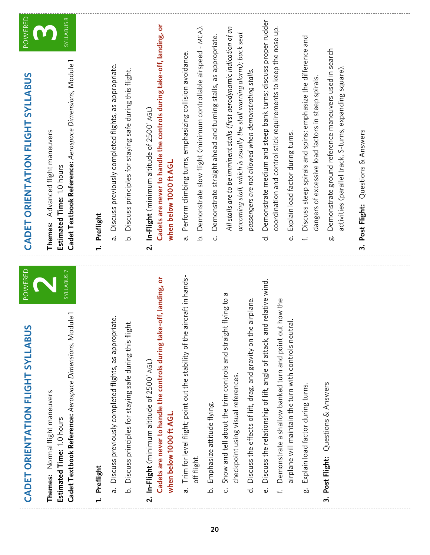| CADET ORIENTATION FLIGHT SYLLABUS<br><b>POWERED</b><br>ທ<br>CADET ORIENTATION FLIGHT SYLLABU | Cadet Textbook Reference: Aerospace Dimensions, Module 1<br>Advanced flight maneuvers<br>Estimated Time: 1.0 hours<br>Themes:<br>SYLLABUS 7<br>Cadet Textbook Reference: Aerospace Dimensions, Module 1 | Discuss previously completed flights, as appropriate.<br>Discuss principles for staying safe during this flight.<br>Preflight<br>.<br>ف<br>ā<br>$\div$<br>Discuss previously completed flights, as appropriate.<br>封<br>Discuss principles for staying safe during this flig | Cadets are never to handle the controls during take-off, landing, or<br>In-Flight (minimum altitude of 2500' AGL)<br>when below 1000 ft AGL.<br>$\overline{\mathbf{v}}$<br>Cadets are never to handle the controls during take-off, landing, or | Demonstrate slow flight (minimum controllable airspeed - MCA).<br>Perform climbing turns, emphasizing collision avoidance<br>نم<br>ā<br>aircraft in hands-<br>Trim for level flight; point out the stability of the | Demonstrate straight ahead and turning stalls, as appropriate.<br>ن | All stalls are to be imminent stalls (first aerodynamic indication of an<br>oncoming stall, which is usually the stall warning alarm); back seat<br>passengers are not allowed when demonstrating stalls.<br>Show and tell about the trim controls and straight flying to a<br>Discuss the effects of lift, drag, and gravity on the airplane. | Demonstrate medium and steep bank turns; discuss proper rudder<br>ಕ<br>id relative wind.<br>Discuss the relationship of lift, angle of attack, an | coordination and control stick requirements to keep the nose up.<br>Explain load factor during turns.<br>نه<br>Demonstrate a shallow banked turn and point out how the<br>airplane will maintain the turn with controls neutral. | Discuss steep spirals and spins; emphasize the difference and<br>dangers of excessive load factors in steep spirals<br>Ļ. | Demonstrate ground reference maneuvers used in search<br>activities (parallel track, S-turns, expanding square)<br>ÖÓ | Questions & Answers<br>Post Flight:<br>ന് |  |
|----------------------------------------------------------------------------------------------|---------------------------------------------------------------------------------------------------------------------------------------------------------------------------------------------------------|------------------------------------------------------------------------------------------------------------------------------------------------------------------------------------------------------------------------------------------------------------------------------|-------------------------------------------------------------------------------------------------------------------------------------------------------------------------------------------------------------------------------------------------|---------------------------------------------------------------------------------------------------------------------------------------------------------------------------------------------------------------------|---------------------------------------------------------------------|------------------------------------------------------------------------------------------------------------------------------------------------------------------------------------------------------------------------------------------------------------------------------------------------------------------------------------------------|---------------------------------------------------------------------------------------------------------------------------------------------------|----------------------------------------------------------------------------------------------------------------------------------------------------------------------------------------------------------------------------------|---------------------------------------------------------------------------------------------------------------------------|-----------------------------------------------------------------------------------------------------------------------|-------------------------------------------|--|
|                                                                                              | Themes: Normal flight maneuvers                                                                                                                                                                         |                                                                                                                                                                                                                                                                              | In-Flight (minimum altitude of 2500' AGL)                                                                                                                                                                                                       |                                                                                                                                                                                                                     |                                                                     | checkpoint using visual references.                                                                                                                                                                                                                                                                                                            |                                                                                                                                                   |                                                                                                                                                                                                                                  | Explain load factor during turns.                                                                                         | Post Flight: Questions & Answers                                                                                      |                                           |  |